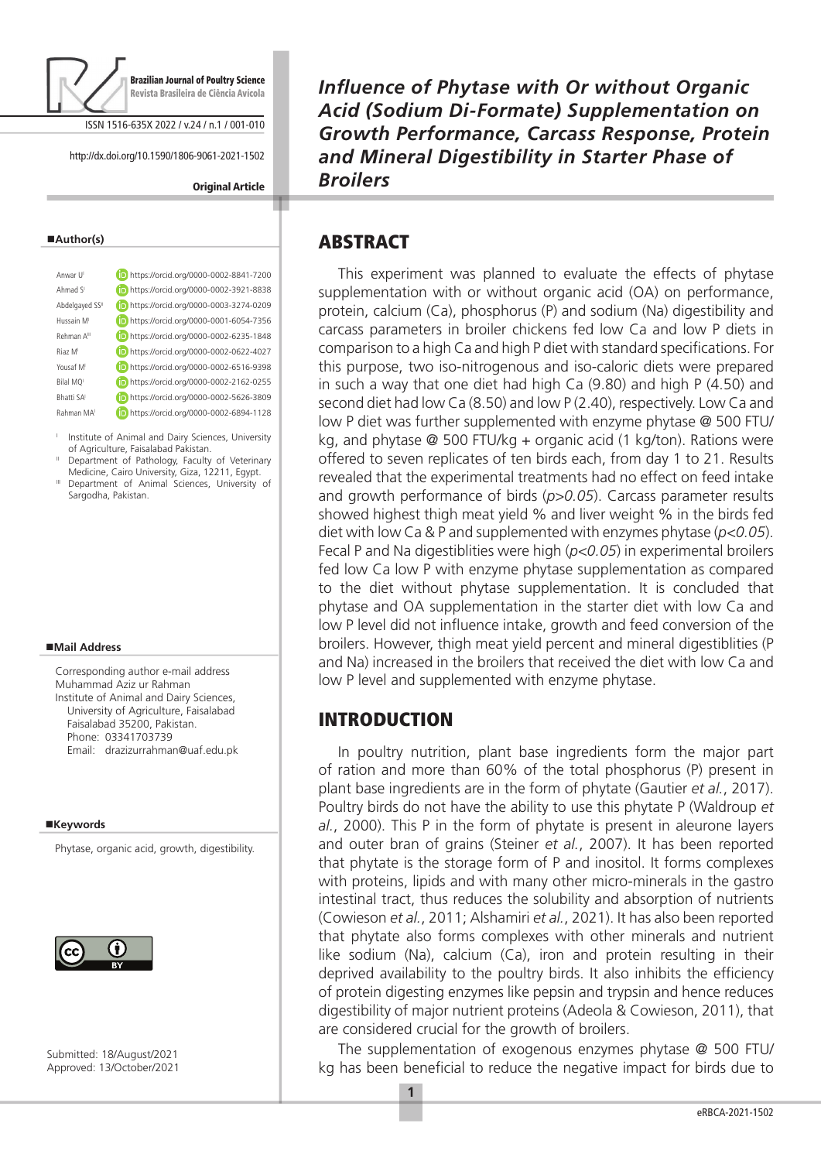

ISSN 1516-635X 2022 / v.24 / n.1 / 001-010

http://dx.doi.org/10.1590/1806-9061-2021-1502

#### **Original Article**

#### **Author(s)**

| Anwar U                 | https://orcid.org/0000-0002-8841-7200 |
|-------------------------|---------------------------------------|
| Ahmad SI                | https://orcid.org/0000-0002-3921-8838 |
| Abdelgayed SSII         | https://orcid.org/0000-0003-3274-0209 |
| Hussain M               | https://orcid.org/0000-0001-6054-7356 |
| Rehman A <sup>III</sup> | https://orcid.org/0000-0002-6235-1848 |
| Riaz M                  | https://orcid.org/0000-0002-0622-4027 |
| Yousaf M                | https://orcid.org/0000-0002-6516-9398 |
| Bilal MO                | https://orcid.org/0000-0002-2162-0255 |
| Rhatti SA               | https://orcid.org/0000-0002-5626-3809 |
| Rahman MA               | https://orcid.org/0000-0002-6894-1128 |
|                         |                                       |

<sup>1</sup> Institute of Animal and Dairy Sciences, University of Agriculture, Faisalabad Pakistan.

- Department of Pathology, Faculty of Veterinary Medicine, Cairo University, Giza, 12211, Egypt.
- III Department of Animal Sciences, University of Sargodha, Pakistan.

#### **Mail Address**

Corresponding author e-mail address Muhammad Aziz ur Rahman Institute of Animal and Dairy Sciences, University of Agriculture, Faisalabad Faisalabad 35200, Pakistan. Phone: 03341703739 Email: drazizurrahman@uaf.edu.pk

#### **Keywords**

Phytase, organic acid, growth, digestibility.



Submitted: 18/August/2021 Approved: 13/October/2021 *Influence of Phytase with Or without Organic Acid (Sodium Di-Formate) Supplementation on Growth Performance, Carcass Response, Protein and Mineral Digestibility in Starter Phase of Broilers*

### ABSTRACT

This experiment was planned to evaluate the effects of phytase supplementation with or without organic acid (OA) on performance, protein, calcium (Ca), phosphorus (P) and sodium (Na) digestibility and carcass parameters in broiler chickens fed low Ca and low P diets in comparison to a high Ca and high P diet with standard specifications. For this purpose, two iso-nitrogenous and iso-caloric diets were prepared in such a way that one diet had high Ca (9.80) and high P (4.50) and second diet had low Ca (8.50) and low P (2.40), respectively. Low Ca and low P diet was further supplemented with enzyme phytase @ 500 FTU/ kg, and phytase @ 500 FTU/kg + organic acid (1 kg/ton). Rations were offered to seven replicates of ten birds each, from day 1 to 21. Results revealed that the experimental treatments had no effect on feed intake and growth performance of birds (*p>0.05*). Carcass parameter results showed highest thigh meat yield % and liver weight % in the birds fed diet with low Ca & P and supplemented with enzymes phytase (*p<0.05*). Fecal P and Na digestiblities were high (*p<0.05*) in experimental broilers fed low Ca low P with enzyme phytase supplementation as compared to the diet without phytase supplementation. It is concluded that phytase and OA supplementation in the starter diet with low Ca and low P level did not influence intake, growth and feed conversion of the broilers. However, thigh meat yield percent and mineral digestiblities (P and Na) increased in the broilers that received the diet with low Ca and low P level and supplemented with enzyme phytase.

## INTRODUCTION

In poultry nutrition, plant base ingredients form the major part of ration and more than 60% of the total phosphorus (P) present in plant base ingredients are in the form of phytate (Gautier *et al.*, 2017). Poultry birds do not have the ability to use this phytate P (Waldroup *et al.*, 2000). This P in the form of phytate is present in aleurone layers and outer bran of grains (Steiner *et al.*, 2007). It has been reported that phytate is the storage form of P and inositol. It forms complexes with proteins, lipids and with many other micro-minerals in the gastro intestinal tract, thus reduces the solubility and absorption of nutrients (Cowieson *et al.*, 2011; Alshamiri *et al.*, 2021). It has also been reported that phytate also forms complexes with other minerals and nutrient like sodium (Na), calcium (Ca), iron and protein resulting in their deprived availability to the poultry birds. It also inhibits the efficiency of protein digesting enzymes like pepsin and trypsin and hence reduces digestibility of major nutrient proteins (Adeola & Cowieson, 2011), that are considered crucial for the growth of broilers.

The supplementation of exogenous enzymes phytase @ 500 FTU/ kg has been beneficial to reduce the negative impact for birds due to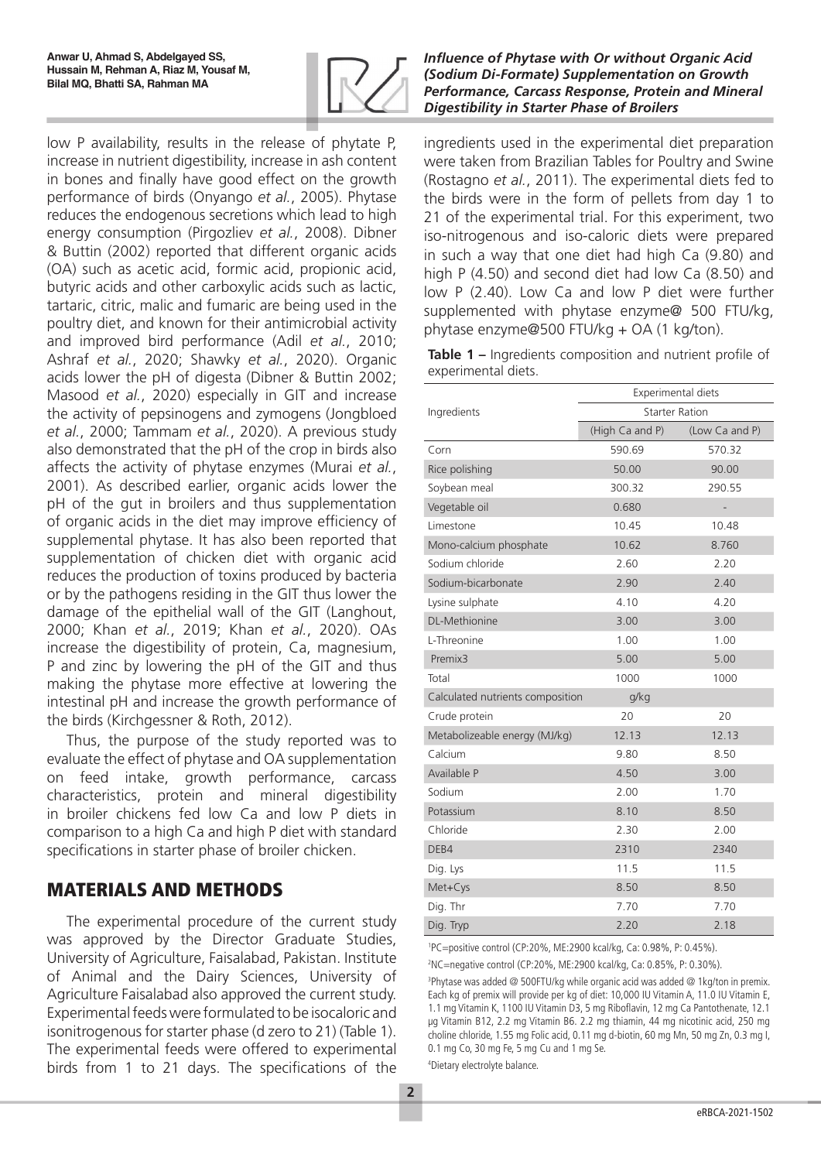

low P availability, results in the release of phytate P, increase in nutrient digestibility, increase in ash content in bones and finally have good effect on the growth performance of birds (Onyango *et al.*, 2005). Phytase reduces the endogenous secretions which lead to high energy consumption (Pirgozliev *et al.*, 2008). Dibner & Buttin (2002) reported that different organic acids (OA) such as acetic acid, formic acid, propionic acid, butyric acids and other carboxylic acids such as lactic, tartaric, citric, malic and fumaric are being used in the poultry diet, and known for their antimicrobial activity and improved bird performance (Adil *et al.*, 2010; Ashraf *et al.*, 2020; Shawky *et al.*, 2020). Organic acids lower the pH of digesta (Dibner & Buttin 2002; Masood *et al.*, 2020) especially in GIT and increase the activity of pepsinogens and zymogens (Jongbloed *et al.*, 2000; Tammam *et al.*, 2020). A previous study also demonstrated that the pH of the crop in birds also affects the activity of phytase enzymes (Murai *et al.*, 2001). As described earlier, organic acids lower the pH of the gut in broilers and thus supplementation of organic acids in the diet may improve efficiency of supplemental phytase. It has also been reported that supplementation of chicken diet with organic acid reduces the production of toxins produced by bacteria or by the pathogens residing in the GIT thus lower the damage of the epithelial wall of the GIT (Langhout, 2000; Khan *et al.*, 2019; Khan *et al.*, 2020). OAs increase the digestibility of protein, Ca, magnesium, P and zinc by lowering the pH of the GIT and thus making the phytase more effective at lowering the intestinal pH and increase the growth performance of the birds (Kirchgessner & Roth, 2012).

Thus, the purpose of the study reported was to evaluate the effect of phytase and OA supplementation on feed intake, growth performance, carcass characteristics, protein and mineral digestibility in broiler chickens fed low Ca and low P diets in comparison to a high Ca and high P diet with standard specifications in starter phase of broiler chicken.

# MATERIALS AND METHODS

The experimental procedure of the current study was approved by the Director Graduate Studies, University of Agriculture, Faisalabad, Pakistan. Institute of Animal and the Dairy Sciences, University of Agriculture Faisalabad also approved the current study. Experimental feeds were formulated to be isocaloric and isonitrogenous for starter phase (d zero to 21) (Table 1). The experimental feeds were offered to experimental birds from 1 to 21 days. The specifications of the

### *Influence of Phytase with Or without Organic Acid (Sodium Di-Formate) Supplementation on Growth Performance, Carcass Response, Protein and Mineral Digestibility in Starter Phase of Broilers*

ingredients used in the experimental diet preparation were taken from Brazilian Tables for Poultry and Swine (Rostagno *et al.*, 2011). The experimental diets fed to the birds were in the form of pellets from day 1 to 21 of the experimental trial. For this experiment, two iso-nitrogenous and iso-caloric diets were prepared in such a way that one diet had high Ca (9.80) and high P (4.50) and second diet had low Ca (8.50) and low P (2.40). Low Ca and low P diet were further supplemented with phytase enzyme@ 500 FTU/kg, phytase enzyme@500 FTU/kg + OA (1 kg/ton).

**Table 1 –** Ingredients composition and nutrient profile of experimental diets.

|                                  | Experimental diets    |                |  |  |
|----------------------------------|-----------------------|----------------|--|--|
| Ingredients                      | <b>Starter Ration</b> |                |  |  |
|                                  | (High Ca and P)       | (Low Ca and P) |  |  |
| Corn                             | 590.69                | 570.32         |  |  |
| Rice polishing                   | 50.00                 | 90.00          |  |  |
| Soybean meal                     | 300.32                | 290.55         |  |  |
| Vegetable oil                    | 0.680                 |                |  |  |
| Limestone                        | 10.45                 | 10.48          |  |  |
| Mono-calcium phosphate           | 10.62                 | 8.760          |  |  |
| Sodium chloride                  | 2.60                  | 2.20           |  |  |
| Sodium-bicarbonate               | 2.90                  | 2.40           |  |  |
| Lysine sulphate                  | 4.10                  | 4.20           |  |  |
| <b>DL-Methionine</b>             | 3.00                  | 3.00           |  |  |
| L-Threonine                      | 1.00                  | 1.00           |  |  |
| Premix3                          | 5.00                  | 5.00           |  |  |
| Total                            | 1000                  | 1000           |  |  |
| Calculated nutrients composition | g/kg                  |                |  |  |
| Crude protein                    | 20                    | 20             |  |  |
| Metabolizeable energy (MJ/kg)    | 12.13                 | 12.13          |  |  |
| Calcium                          | 9.80                  | 8.50           |  |  |
| Available P                      | 4.50                  | 3.00           |  |  |
| Sodium                           | 2.00                  | 1.70           |  |  |
| Potassium                        | 8.10                  | 8.50           |  |  |
| Chloride                         | 2.30                  | 2.00           |  |  |
| DEB4                             | 2310                  | 2340           |  |  |
| Dig. Lys                         | 11.5                  | 11.5           |  |  |
| Met+Cys                          | 8.50                  | 8.50           |  |  |
| Dig. Thr                         | 7.70                  | 7.70           |  |  |
| Dig. Tryp                        | 2.20                  | 2.18           |  |  |

1 PC=positive control (CP:20%, ME:2900 kcal/kg, Ca: 0.98%, P: 0.45%).

2 NC=negative control (CP:20%, ME:2900 kcal/kg, Ca: 0.85%, P: 0.30%).

3 Phytase was added @ 500FTU/kg while organic acid was added @ 1kg/ton in premix. Each kg of premix will provide per kg of diet: 10,000 IU Vitamin A, 11.0 IU Vitamin E, 1.1 mg Vitamin K, 1100 IU Vitamin D3, 5 mg Riboflavin, 12 mg Ca Pantothenate, 12.1 µg Vitamin B12, 2.2 mg Vitamin B6. 2.2 mg thiamin, 44 mg nicotinic acid, 250 mg choline chloride, 1.55 mg Folic acid, 0.11 mg d-biotin, 60 mg Mn, 50 mg Zn, 0.3 mg I, 0.1 mg Co, 30 mg Fe, 5 mg Cu and 1 mg Se.

4 Dietary electrolyte balance.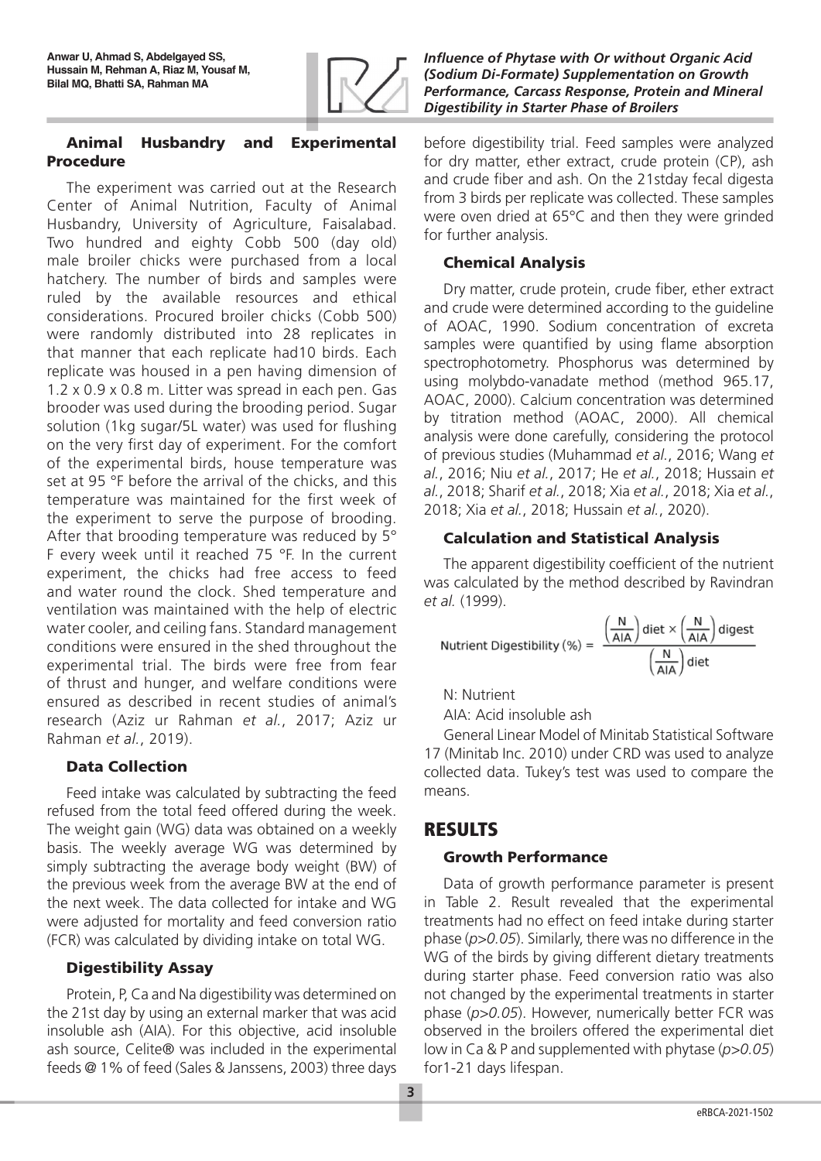

### Animal Husbandry and Experimental Procedure

The experiment was carried out at the Research Center of Animal Nutrition, Faculty of Animal Husbandry, University of Agriculture, Faisalabad. Two hundred and eighty Cobb 500 (day old) male broiler chicks were purchased from a local hatchery. The number of birds and samples were ruled by the available resources and ethical considerations. Procured broiler chicks (Cobb 500) were randomly distributed into 28 replicates in that manner that each replicate had10 birds. Each replicate was housed in a pen having dimension of 1.2 x 0.9 x 0.8 m. Litter was spread in each pen. Gas brooder was used during the brooding period. Sugar solution (1kg sugar/5L water) was used for flushing on the very first day of experiment. For the comfort of the experimental birds, house temperature was set at 95 °F before the arrival of the chicks, and this temperature was maintained for the first week of the experiment to serve the purpose of brooding. After that brooding temperature was reduced by 5° F every week until it reached 75 °F. In the current experiment, the chicks had free access to feed and water round the clock. Shed temperature and ventilation was maintained with the help of electric water cooler, and ceiling fans. Standard management conditions were ensured in the shed throughout the experimental trial. The birds were free from fear of thrust and hunger, and welfare conditions were ensured as described in recent studies of animal's research (Aziz ur Rahman *et al.*, 2017; Aziz ur Rahman *et al.*, 2019).

# Data Collection

Feed intake was calculated by subtracting the feed refused from the total feed offered during the week. The weight gain (WG) data was obtained on a weekly basis. The weekly average WG was determined by simply subtracting the average body weight (BW) of the previous week from the average BW at the end of the next week. The data collected for intake and WG were adjusted for mortality and feed conversion ratio (FCR) was calculated by dividing intake on total WG.

# Digestibility Assay

Protein, P, Ca and Na digestibility was determined on the 21st day by using an external marker that was acid insoluble ash (AIA). For this objective, acid insoluble ash source, Celite® was included in the experimental feeds @ 1% of feed (Sales & Janssens, 2003) three days *Influence of Phytase with Or without Organic Acid (Sodium Di-Formate) Supplementation on Growth Performance, Carcass Response, Protein and Mineral Digestibility in Starter Phase of Broilers*

before digestibility trial. Feed samples were analyzed for dry matter, ether extract, crude protein (CP), ash and crude fiber and ash. On the 21stday fecal digesta from 3 birds per replicate was collected. These samples were oven dried at 65°C and then they were grinded for further analysis.

## Chemical Analysis

Dry matter, crude protein, crude fiber, ether extract and crude were determined according to the guideline of AOAC, 1990. Sodium concentration of excreta samples were quantified by using flame absorption spectrophotometry. Phosphorus was determined by using molybdo-vanadate method (method 965.17, AOAC, 2000). Calcium concentration was determined by titration method (AOAC, 2000). All chemical analysis were done carefully, considering the protocol of previous studies (Muhammad *et al.*, 2016; Wang *et al.*, 2016; Niu *et al.*, 2017; He *et al.*, 2018; Hussain *et al.*, 2018; Sharif *et al.*, 2018; Xia *et al.*, 2018; Xia *et al.*, 2018; Xia *et al.*, 2018; Hussain *et al.*, 2020).

# Calculation and Statistical Analysis

The apparent digestibility coefficient of the nutrient was calculated by the method described by Ravindran *et al.* (1999).

$$
\text{Nutrient Digestibility } (\%) = \frac{\left(\frac{\mathsf{N}}{\mathsf{A} \mathsf{I} \mathsf{A}}\right) \text{dist} \times \left(\frac{\mathsf{N}}{\mathsf{A} \mathsf{I} \mathsf{A}}\right) \text{digest}}{\left(\frac{\mathsf{N}}{\mathsf{A} \mathsf{I} \mathsf{A}}\right) \text{dist}}
$$

N: Nutrient

AIA: Acid insoluble ash

General Linear Model of Minitab Statistical Software 17 (Minitab Inc. 2010) under CRD was used to analyze collected data. Tukey's test was used to compare the means.

# RESULTS

# Growth Performance

Data of growth performance parameter is present in Table 2. Result revealed that the experimental treatments had no effect on feed intake during starter phase (*p>0.05*). Similarly, there was no difference in the WG of the birds by giving different dietary treatments during starter phase. Feed conversion ratio was also not changed by the experimental treatments in starter phase (*p>0.05*). However, numerically better FCR was observed in the broilers offered the experimental diet low in Ca & P and supplemented with phytase (*p>0.05*) for1-21 days lifespan.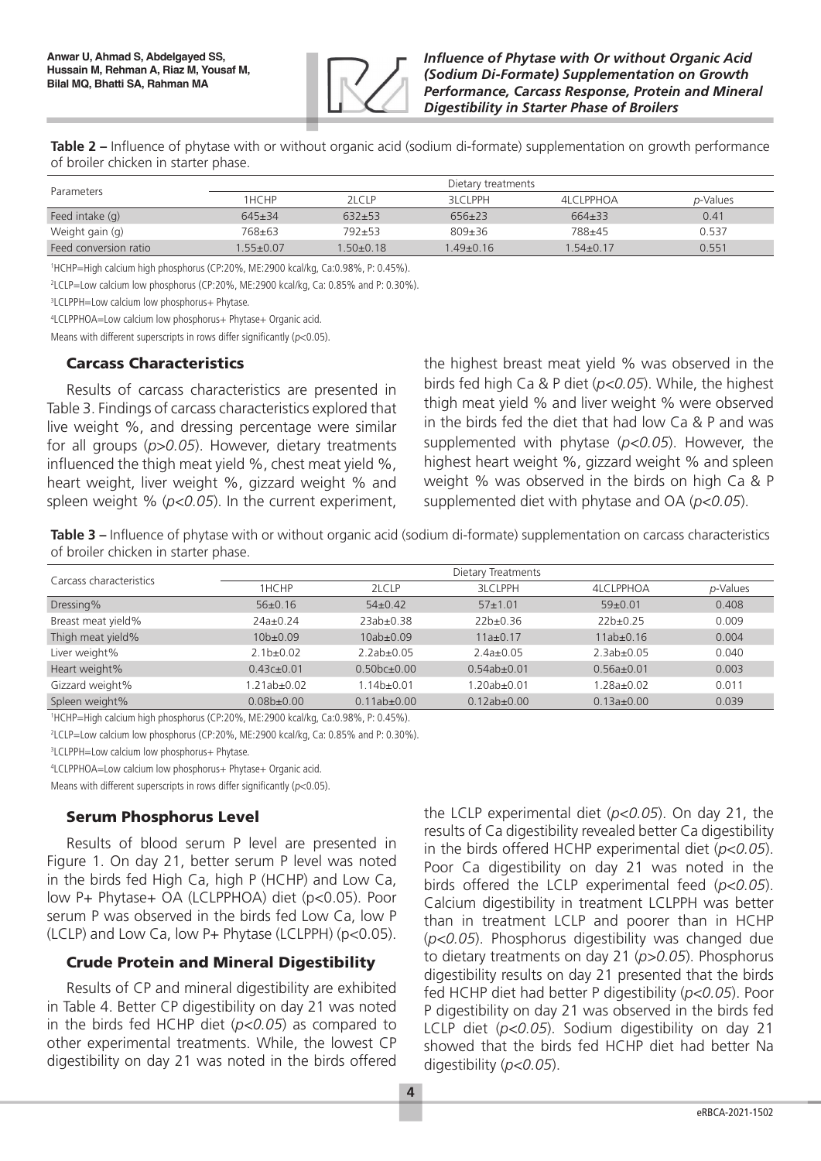

**Table 2 –** Influence of phytase with or without organic acid (sodium di-formate) supplementation on growth performance of broiler chicken in starter phase.

| Parameters            | Dietary treatments |                 |                 |                 |          |
|-----------------------|--------------------|-----------------|-----------------|-----------------|----------|
|                       | 1HCHP              | 2LCLP           | <b>BLCLPPH</b>  | 4LCLPPHOA       | p-Values |
| Feed intake (g)       | $645+34$           | $632+53$        | $656+23$        | $664\pm33$      | 0.41     |
| Weight gain (g)       | 768±63             | 792±53          | $809 + 36$      | 788±45          | 0.537    |
| Feed conversion ratio | $1.55 \pm 0.07$    | $1.50 \pm 0.18$ | $1.49 \pm 0.16$ | $1.54 \pm 0.17$ | 0.551    |

1 HCHP=High calcium high phosphorus (CP:20%, ME:2900 kcal/kg, Ca:0.98%, P: 0.45%).

2 LCLP=Low calcium low phosphorus (CP:20%, ME:2900 kcal/kg, Ca: 0.85% and P: 0.30%).

<sup>3</sup>LCLPPH=Low calcium low phosphorus+ Phytase.

4 LCLPPHOA=Low calcium low phosphorus+ Phytase+ Organic acid.

Means with different superscripts in rows differ significantly ( $p<0.05$ ).

### Carcass Characteristics

Results of carcass characteristics are presented in Table 3. Findings of carcass characteristics explored that live weight %, and dressing percentage were similar for all groups (*p>0.05*). However, dietary treatments influenced the thigh meat yield %, chest meat yield %, heart weight, liver weight %, gizzard weight % and spleen weight % (*p<0.05*). In the current experiment, the highest breast meat yield % was observed in the birds fed high Ca & P diet (*p<0.05*). While, the highest thigh meat yield % and liver weight % were observed in the birds fed the diet that had low Ca & P and was supplemented with phytase (*p<0.05*). However, the highest heart weight %, gizzard weight % and spleen weight % was observed in the birds on high Ca & P supplemented diet with phytase and OA (*p<0.05*).

**Table 3 –** Influence of phytase with or without organic acid (sodium di-formate) supplementation on carcass characteristics of broiler chicken in starter phase.

| Carcass characteristics | Dietary Treatments |                   |                   |                  |          |
|-------------------------|--------------------|-------------------|-------------------|------------------|----------|
|                         | 1HCHP              | 2LCLP             | <b>3LCLPPH</b>    | <b>4LCLPPHOA</b> | p-Values |
| Dressing%               | $56\pm0.16$        | $54\pm0.42$       | $57 \pm 1.01$     | $59+0.01$        | 0.408    |
| Breast meat yield%      | $24a \pm 0.24$     | $23ab+0.38$       | $22b+0.36$        | $22b+0.25$       | 0.009    |
| Thigh meat yield%       | $10b \pm 0.09$     | $10ab + 0.09$     | $11a \pm 0.17$    | $11ab \pm 0.16$  | 0.004    |
| Liver weight%           | $2.1b + 0.02$      | $2.2ab+0.05$      | $2.4a+0.05$       | $2.3ab \pm 0.05$ | 0.040    |
| Heart weight%           | $0.43c \pm 0.01$   | $0.50bc + 0.00$   | $0.54ab + 0.01$   | $0.56a \pm 0.01$ | 0.003    |
| Gizzard weight%         | $1.21ab \pm 0.02$  | $1.14b \pm 0.01$  | $1.20ab + 0.01$   | $1.28a + 0.02$   | 0.011    |
| Spleen weight%          | $0.08b \pm 0.00$   | $0.11ab \pm 0.00$ | $0.12ab \pm 0.00$ | $0.13a \pm 0.00$ | 0.039    |

1 HCHP=High calcium high phosphorus (CP:20%, ME:2900 kcal/kg, Ca:0.98%, P: 0.45%).

2 LCLP=Low calcium low phosphorus (CP:20%, ME:2900 kcal/kg, Ca: 0.85% and P: 0.30%).

3 LCLPPH=Low calcium low phosphorus+ Phytase.

4 LCLPPHOA=Low calcium low phosphorus+ Phytase+ Organic acid.

Means with different superscripts in rows differ significantly ( $p<0.05$ ).

### Serum Phosphorus Level

Results of blood serum P level are presented in Figure 1. On day 21, better serum P level was noted in the birds fed High Ca, high P (HCHP) and Low Ca, low P+ Phytase+ OA (LCLPPHOA) diet (p<0.05). Poor serum P was observed in the birds fed Low Ca, low P (LCLP) and Low Ca, low P+ Phytase (LCLPPH) (p<0.05).

### Crude Protein and Mineral Digestibility

Results of CP and mineral digestibility are exhibited in Table 4. Better CP digestibility on day 21 was noted in the birds fed HCHP diet (*p<0.05*) as compared to other experimental treatments. While, the lowest CP digestibility on day 21 was noted in the birds offered

the LCLP experimental diet (*p<0.05*). On day 21, the results of Ca digestibility revealed better Ca digestibility in the birds offered HCHP experimental diet (*p<0.05*). Poor Ca digestibility on day 21 was noted in the birds offered the LCLP experimental feed (*p<0.05*). Calcium digestibility in treatment LCLPPH was better than in treatment LCLP and poorer than in HCHP (*p<0.05*). Phosphorus digestibility was changed due to dietary treatments on day 21 (*p>0.05*). Phosphorus digestibility results on day 21 presented that the birds fed HCHP diet had better P digestibility (*p<0.05*). Poor P digestibility on day 21 was observed in the birds fed LCLP diet (*p<0.05*). Sodium digestibility on day 21 showed that the birds fed HCHP diet had better Na digestibility (*p<0.05*).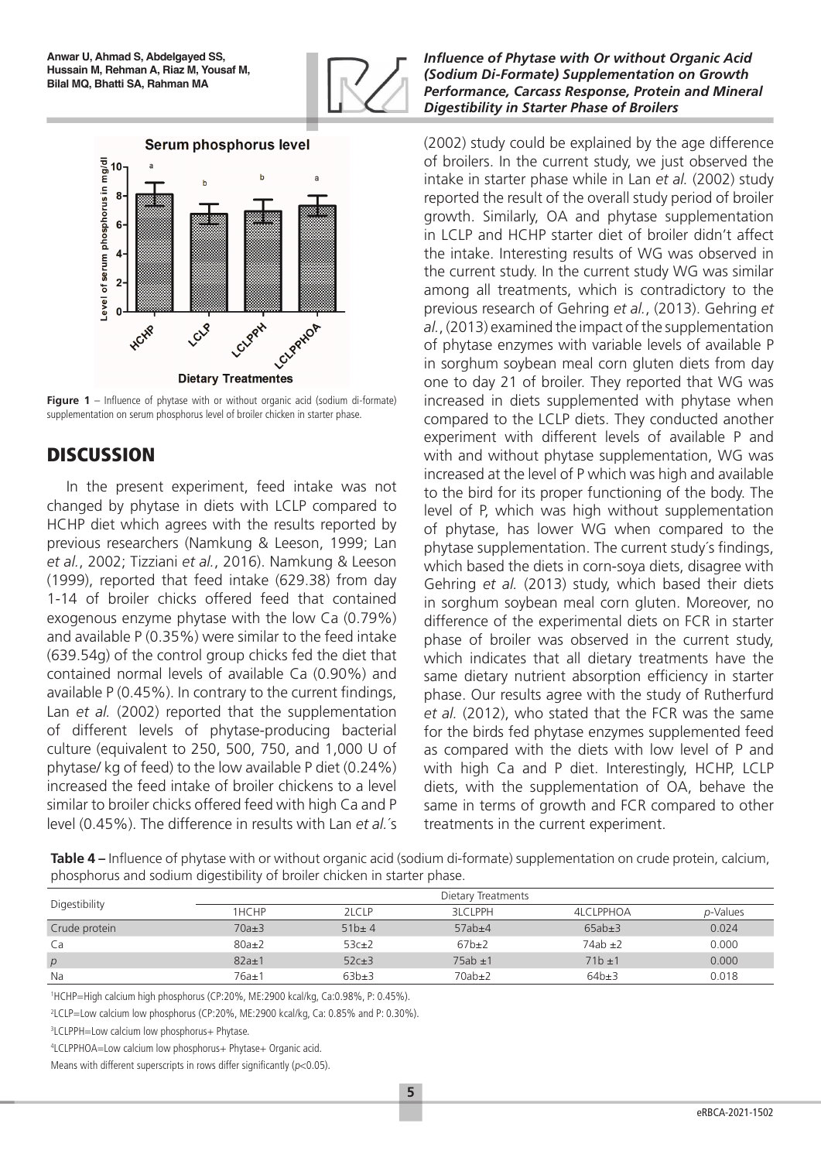



**Figure 1** – Influence of phytase with or without organic acid (sodium di-formate) supplementation on serum phosphorus level of broiler chicken in starter phase.

# **DISCUSSION**

In the present experiment, feed intake was not changed by phytase in diets with LCLP compared to HCHP diet which agrees with the results reported by previous researchers (Namkung & Leeson, 1999; Lan *et al.*, 2002; Tizziani *et al.*, 2016). Namkung & Leeson (1999), reported that feed intake (629.38) from day 1-14 of broiler chicks offered feed that contained exogenous enzyme phytase with the low Ca (0.79%) and available P (0.35%) were similar to the feed intake (639.54g) of the control group chicks fed the diet that contained normal levels of available Ca (0.90%) and available P (0.45%). In contrary to the current findings, Lan *et al.* (2002) reported that the supplementation of different levels of phytase-producing bacterial culture (equivalent to 250, 500, 750, and 1,000 U of phytase/ kg of feed) to the low available P diet (0.24%) increased the feed intake of broiler chickens to a level similar to broiler chicks offered feed with high Ca and P level (0.45%). The difference in results with Lan *et al.*´s

### *Influence of Phytase with Or without Organic Acid (Sodium Di-Formate) Supplementation on Growth Performance, Carcass Response, Protein and Mineral Digestibility in Starter Phase of Broilers*

(2002) study could be explained by the age difference of broilers. In the current study, we just observed the intake in starter phase while in Lan *et al.* (2002) study reported the result of the overall study period of broiler growth. Similarly, OA and phytase supplementation in LCLP and HCHP starter diet of broiler didn't affect the intake. Interesting results of WG was observed in the current study. In the current study WG was similar among all treatments, which is contradictory to the previous research of Gehring *et al.*, (2013). Gehring *et al.*, (2013) examined the impact of the supplementation of phytase enzymes with variable levels of available P in sorghum soybean meal corn gluten diets from day one to day 21 of broiler. They reported that WG was increased in diets supplemented with phytase when compared to the LCLP diets. They conducted another experiment with different levels of available P and with and without phytase supplementation, WG was increased at the level of P which was high and available to the bird for its proper functioning of the body. The level of P, which was high without supplementation of phytase, has lower WG when compared to the phytase supplementation. The current study´s findings, which based the diets in corn-soya diets, disagree with Gehring *et al.* (2013) study, which based their diets in sorghum soybean meal corn gluten. Moreover, no difference of the experimental diets on FCR in starter phase of broiler was observed in the current study, which indicates that all dietary treatments have the same dietary nutrient absorption efficiency in starter phase. Our results agree with the study of Rutherfurd *et al.* (2012), who stated that the FCR was the same for the birds fed phytase enzymes supplemented feed as compared with the diets with low level of P and with high Ca and P diet. Interestingly, HCHP, LCLP diets, with the supplementation of OA, behave the same in terms of growth and FCR compared to other treatments in the current experiment.

**Table 4 –** Influence of phytase with or without organic acid (sodium di-formate) supplementation on crude protein, calcium, phosphorus and sodium digestibility of broiler chicken in starter phase.

| Digestibility |             |             | Dietary Treatments |              |          |
|---------------|-------------|-------------|--------------------|--------------|----------|
|               | 1HCHP       | 2LCLP       | <b>3LCLPPH</b>     | 4LCLPPHOA    | p-Values |
| Crude protein | $70a \pm 3$ | $51b \pm 4$ | $57ab{\pm}4$       | $65ab \pm 3$ | 0.024    |
| Ca            | $80a \pm 2$ | $53c \pm 2$ | $67b\pm2$          | $74ab \pm 2$ | 0.000    |
| p             | $82a \pm 1$ | $52c \pm 3$ | $75ab \pm 1$       | $71b + 1$    | 0.000    |
| Na            | 76a±1       | $63b\pm3$   | $70ab{\pm}2$       | $64b\pm3$    | 0.018    |

1 HCHP=High calcium high phosphorus (CP:20%, ME:2900 kcal/kg, Ca:0.98%, P: 0.45%).

2 LCLP=Low calcium low phosphorus (CP:20%, ME:2900 kcal/kg, Ca: 0.85% and P: 0.30%).

3 LCLPPH=Low calcium low phosphorus+ Phytase.

4 LCLPPHOA=Low calcium low phosphorus+ Phytase+ Organic acid.

Means with different superscripts in rows differ significantly ( $p<0.05$ ).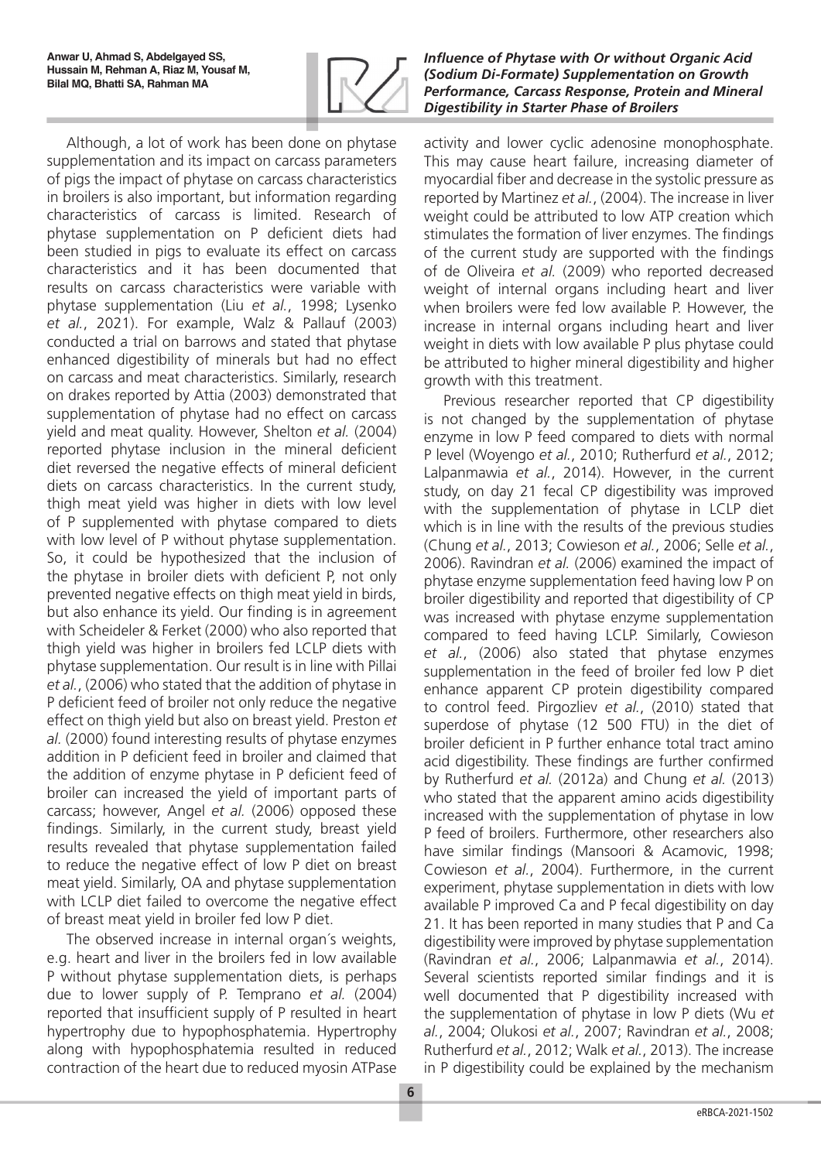

Although, a lot of work has been done on phytase supplementation and its impact on carcass parameters of pigs the impact of phytase on carcass characteristics in broilers is also important, but information regarding characteristics of carcass is limited. Research of phytase supplementation on P deficient diets had been studied in pigs to evaluate its effect on carcass characteristics and it has been documented that results on carcass characteristics were variable with phytase supplementation (Liu *et al.*, 1998; Lysenko *et al.*, 2021). For example, Walz & Pallauf (2003) conducted a trial on barrows and stated that phytase enhanced digestibility of minerals but had no effect on carcass and meat characteristics. Similarly, research on drakes reported by Attia (2003) demonstrated that supplementation of phytase had no effect on carcass yield and meat quality. However, Shelton *et al.* (2004) reported phytase inclusion in the mineral deficient diet reversed the negative effects of mineral deficient diets on carcass characteristics. In the current study, thigh meat yield was higher in diets with low level of P supplemented with phytase compared to diets with low level of P without phytase supplementation. So, it could be hypothesized that the inclusion of the phytase in broiler diets with deficient P, not only prevented negative effects on thigh meat yield in birds, but also enhance its yield. Our finding is in agreement with Scheideler & Ferket (2000) who also reported that thigh yield was higher in broilers fed LCLP diets with phytase supplementation. Our result is in line with Pillai *et al.*, (2006) who stated that the addition of phytase in P deficient feed of broiler not only reduce the negative effect on thigh yield but also on breast yield. Preston *et al.* (2000) found interesting results of phytase enzymes addition in P deficient feed in broiler and claimed that the addition of enzyme phytase in P deficient feed of broiler can increased the yield of important parts of carcass; however, Angel *et al.* (2006) opposed these findings. Similarly, in the current study, breast yield results revealed that phytase supplementation failed to reduce the negative effect of low P diet on breast meat yield. Similarly, OA and phytase supplementation with LCLP diet failed to overcome the negative effect of breast meat yield in broiler fed low P diet.

The observed increase in internal organ´s weights, e.g. heart and liver in the broilers fed in low available P without phytase supplementation diets, is perhaps due to lower supply of P. Temprano *et al.* (2004) reported that insufficient supply of P resulted in heart hypertrophy due to hypophosphatemia. Hypertrophy along with hypophosphatemia resulted in reduced contraction of the heart due to reduced myosin ATPase *Influence of Phytase with Or without Organic Acid (Sodium Di-Formate) Supplementation on Growth Performance, Carcass Response, Protein and Mineral Digestibility in Starter Phase of Broilers*

activity and lower cyclic adenosine monophosphate. This may cause heart failure, increasing diameter of myocardial fiber and decrease in the systolic pressure as reported by Martinez *et al.*, (2004). The increase in liver weight could be attributed to low ATP creation which stimulates the formation of liver enzymes. The findings of the current study are supported with the findings of de Oliveira *et al.* (2009) who reported decreased weight of internal organs including heart and liver when broilers were fed low available P. However, the increase in internal organs including heart and liver weight in diets with low available P plus phytase could be attributed to higher mineral digestibility and higher growth with this treatment.

Previous researcher reported that CP digestibility is not changed by the supplementation of phytase enzyme in low P feed compared to diets with normal P level (Woyengo *et al.*, 2010; Rutherfurd *et al.*, 2012; Lalpanmawia *et al.*, 2014). However, in the current study, on day 21 fecal CP digestibility was improved with the supplementation of phytase in LCLP diet which is in line with the results of the previous studies (Chung *et al.*, 2013; Cowieson *et al.*, 2006; Selle *et al.*, 2006). Ravindran *et al.* (2006) examined the impact of phytase enzyme supplementation feed having low P on broiler digestibility and reported that digestibility of CP was increased with phytase enzyme supplementation compared to feed having LCLP. Similarly, Cowieson *et al.*, (2006) also stated that phytase enzymes supplementation in the feed of broiler fed low P diet enhance apparent CP protein digestibility compared to control feed. Pirgozliev *et al.*, (2010) stated that superdose of phytase (12 500 FTU) in the diet of broiler deficient in P further enhance total tract amino acid digestibility. These findings are further confirmed by Rutherfurd *et al.* (2012a) and Chung *et al.* (2013) who stated that the apparent amino acids digestibility increased with the supplementation of phytase in low P feed of broilers. Furthermore, other researchers also have similar findings (Mansoori & Acamovic, 1998; Cowieson *et al.*, 2004). Furthermore, in the current experiment, phytase supplementation in diets with low available P improved Ca and P fecal digestibility on day 21. It has been reported in many studies that P and Ca digestibility were improved by phytase supplementation (Ravindran *et al.*, 2006; Lalpanmawia *et al.*, 2014). Several scientists reported similar findings and it is well documented that P digestibility increased with the supplementation of phytase in low P diets (Wu *et al.*, 2004; Olukosi *et al.*, 2007; Ravindran *et al.*, 2008; Rutherfurd *et al.*, 2012; Walk *et al.*, 2013). The increase in P digestibility could be explained by the mechanism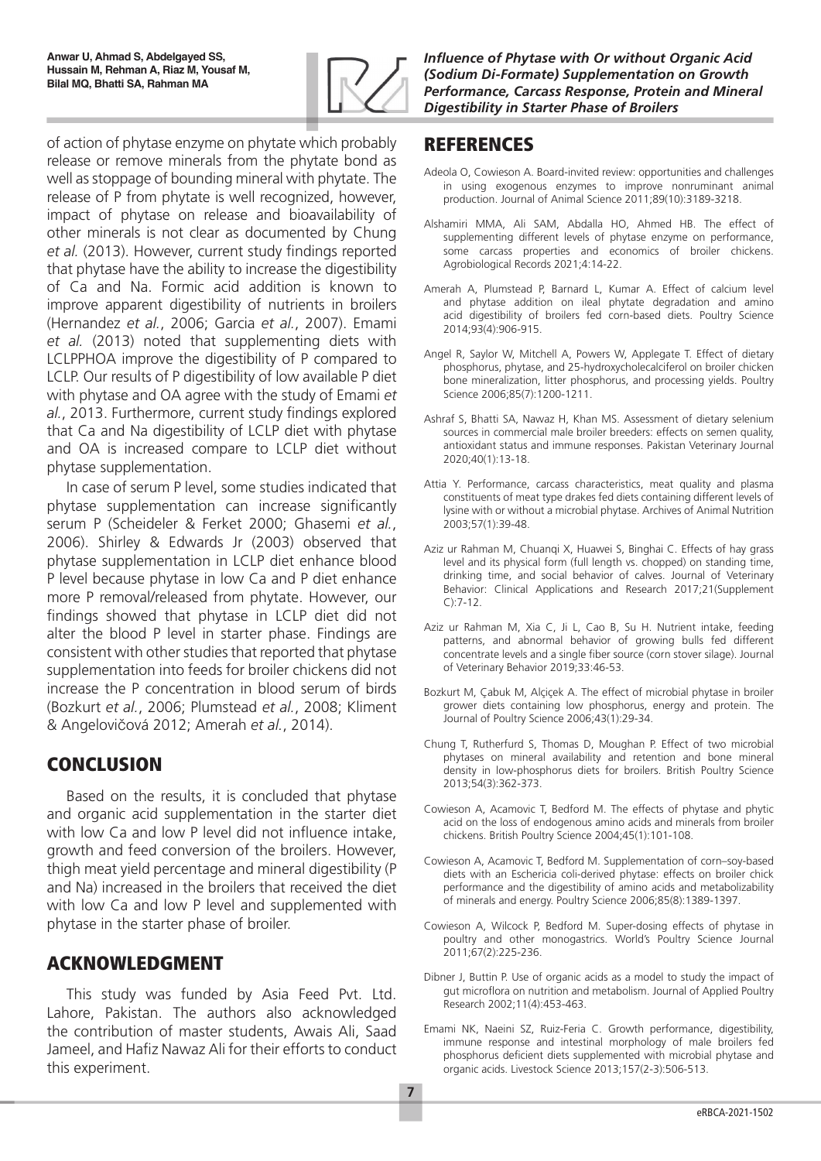

# REFERENCES

- Adeola O, Cowieson A. Board-invited review: opportunities and challenges in using exogenous enzymes to improve nonruminant animal production. Journal of Animal Science 2011;89(10):3189-3218.
- Alshamiri MMA, Ali SAM, Abdalla HO, Ahmed HB. The effect of supplementing different levels of phytase enzyme on performance, some carcass properties and economics of broiler chickens. Agrobiological Records 2021;4:14-22.
- Amerah A, Plumstead P, Barnard L, Kumar A. Effect of calcium level and phytase addition on ileal phytate degradation and amino acid digestibility of broilers fed corn-based diets. Poultry Science 2014;93(4):906-915.
- Angel R, Saylor W, Mitchell A, Powers W, Applegate T. Effect of dietary phosphorus, phytase, and 25-hydroxycholecalciferol on broiler chicken bone mineralization, litter phosphorus, and processing yields. Poultry Science 2006;85(7):1200-1211.
- Ashraf S, Bhatti SA, Nawaz H, Khan MS. Assessment of dietary selenium sources in commercial male broiler breeders: effects on semen quality, antioxidant status and immune responses. Pakistan Veterinary Journal 2020;40(1):13-18.
- Attia Y. Performance, carcass characteristics, meat quality and plasma constituents of meat type drakes fed diets containing different levels of lysine with or without a microbial phytase. Archives of Animal Nutrition 2003;57(1):39-48.
- Aziz ur Rahman M, Chuanqi X, Huawei S, Binghai C. Effects of hay grass level and its physical form (full length vs. chopped) on standing time, drinking time, and social behavior of calves. Journal of Veterinary Behavior: Clinical Applications and Research 2017;21(Supplement  $C$ ): 7-12
- Aziz ur Rahman M, Xia C, Ji L, Cao B, Su H. Nutrient intake, feeding patterns, and abnormal behavior of growing bulls fed different concentrate levels and a single fiber source (corn stover silage). Journal of Veterinary Behavior 2019;33:46-53.
- Bozkurt M, Çabuk M, Alçiçek A. The effect of microbial phytase in broiler grower diets containing low phosphorus, energy and protein. The Journal of Poultry Science 2006;43(1):29-34.
- Chung T, Rutherfurd S, Thomas D, Moughan P. Effect of two microbial phytases on mineral availability and retention and bone mineral density in low-phosphorus diets for broilers. British Poultry Science 2013;54(3):362-373.
- Cowieson A, Acamovic T, Bedford M. The effects of phytase and phytic acid on the loss of endogenous amino acids and minerals from broiler chickens. British Poultry Science 2004;45(1):101-108.
- Cowieson A, Acamovic T, Bedford M. Supplementation of corn–soy-based diets with an Eschericia coli-derived phytase: effects on broiler chick performance and the digestibility of amino acids and metabolizability of minerals and energy. Poultry Science 2006;85(8):1389-1397.
- Cowieson A, Wilcock P, Bedford M. Super-dosing effects of phytase in poultry and other monogastrics. World's Poultry Science Journal 2011;67(2):225-236.
- Dibner J, Buttin P. Use of organic acids as a model to study the impact of gut microflora on nutrition and metabolism. Journal of Applied Poultry Research 2002;11(4):453-463.
- Emami NK, Naeini SZ, Ruiz-Feria C. Growth performance, digestibility, immune response and intestinal morphology of male broilers fed phosphorus deficient diets supplemented with microbial phytase and organic acids. Livestock Science 2013;157(2-3):506-513.

of action of phytase enzyme on phytate which probably release or remove minerals from the phytate bond as well as stoppage of bounding mineral with phytate. The release of P from phytate is well recognized, however, impact of phytase on release and bioavailability of other minerals is not clear as documented by Chung *et al.* (2013). However, current study findings reported that phytase have the ability to increase the digestibility of Ca and Na. Formic acid addition is known to improve apparent digestibility of nutrients in broilers (Hernandez *et al.*, 2006; Garcia *et al.*, 2007). Emami *et al.* (2013) noted that supplementing diets with LCLPPHOA improve the digestibility of P compared to LCLP. Our results of P digestibility of low available P diet with phytase and OA agree with the study of Emami *et al.*, 2013. Furthermore, current study findings explored that Ca and Na digestibility of LCLP diet with phytase and OA is increased compare to LCLP diet without phytase supplementation.

In case of serum P level, some studies indicated that phytase supplementation can increase significantly serum P (Scheideler & Ferket 2000; Ghasemi *et al.*, 2006). Shirley & Edwards Jr (2003) observed that phytase supplementation in LCLP diet enhance blood P level because phytase in low Ca and P diet enhance more P removal/released from phytate. However, our findings showed that phytase in LCLP diet did not alter the blood P level in starter phase. Findings are consistent with other studies that reported that phytase supplementation into feeds for broiler chickens did not increase the P concentration in blood serum of birds (Bozkurt *et al.*, 2006; Plumstead *et al.*, 2008; Kliment & Angelovičová 2012; Amerah *et al.*, 2014).

# **CONCLUSION**

Based on the results, it is concluded that phytase and organic acid supplementation in the starter diet with low Ca and low P level did not influence intake, growth and feed conversion of the broilers. However, thigh meat yield percentage and mineral digestibility (P and Na) increased in the broilers that received the diet with low Ca and low P level and supplemented with phytase in the starter phase of broiler.

# ACKNOWLEDGMENT

This study was funded by Asia Feed Pvt. Ltd. Lahore, Pakistan. The authors also acknowledged the contribution of master students, Awais Ali, Saad Jameel, and Hafiz Nawaz Ali for their efforts to conduct this experiment.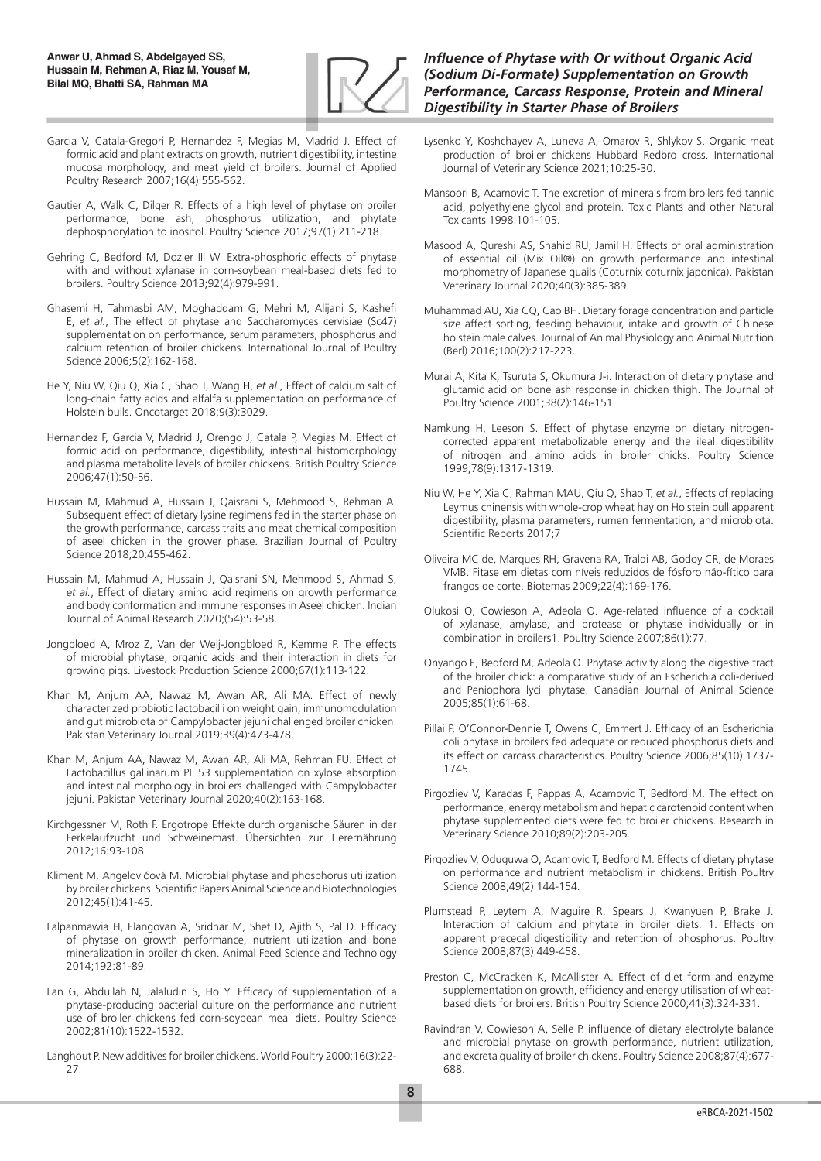

- Garcia V, Catala-Gregori P, Hernandez F, Megias M, Madrid J. Effect of formic acid and plant extracts on growth, nutrient digestibility, intestine mucosa morphology, and meat yield of broilers. Journal of Applied Poultry Research 2007;16(4):555-562.
- Gautier A, Walk C, Dilger R. Effects of a high level of phytase on broiler performance, bone ash, phosphorus utilization, and phytate dephosphorylation to inositol. Poultry Science 2017;97(1):211-218.
- Gehring C, Bedford M, Dozier III W. Extra-phosphoric effects of phytase with and without xylanase in corn-soybean meal-based diets fed to broilers. Poultry Science 2013;92(4):979-991.
- Ghasemi H, Tahmasbi AM, Moghaddam G, Mehri M, Alijani S, Kashefi E, *et al.*, The effect of phytase and Saccharomyces cervisiae (Sc47) supplementation on performance, serum parameters, phosphorus and calcium retention of broiler chickens. International Journal of Poultry Science 2006;5(2):162-168.
- He Y, Niu W, Qiu Q, Xia C, Shao T, Wang H, *et al.*, Effect of calcium salt of long-chain fatty acids and alfalfa supplementation on performance of Holstein bulls. Oncotarget 2018;9(3):3029.
- Hernandez F, Garcia V, Madrid J, Orengo J, Catala P, Megias M. Effect of formic acid on performance, digestibility, intestinal histomorphology and plasma metabolite levels of broiler chickens. British Poultry Science 2006;47(1):50-56.
- Hussain M, Mahmud A, Hussain J, Qaisrani S, Mehmood S, Rehman A. Subsequent effect of dietary lysine regimens fed in the starter phase on the growth performance, carcass traits and meat chemical composition of aseel chicken in the grower phase. Brazilian Journal of Poultry Science 2018;20:455-462.
- Hussain M, Mahmud A, Hussain J, Qaisrani SN, Mehmood S, Ahmad S, *et al.*, Effect of dietary amino acid regimens on growth performance and body conformation and immune responses in Aseel chicken. Indian Journal of Animal Research 2020;(54):53-58.
- Jongbloed A, Mroz Z, Van der Weij-Jongbloed R, Kemme P. The effects of microbial phytase, organic acids and their interaction in diets for growing pigs. Livestock Production Science 2000;67(1):113-122.
- Khan M, Anjum AA, Nawaz M, Awan AR, Ali MA. Effect of newly characterized probiotic lactobacilli on weight gain, immunomodulation and gut microbiota of Campylobacter jejuni challenged broiler chicken. Pakistan Veterinary Journal 2019;39(4):473-478.
- Khan M, Anjum AA, Nawaz M, Awan AR, Ali MA, Rehman FU. Effect of Lactobacillus gallinarum PL 53 supplementation on xylose absorption and intestinal morphology in broilers challenged with Campylobacter jejuni. Pakistan Veterinary Journal 2020;40(2):163-168.
- Kirchgessner M, Roth F. Ergotrope Effekte durch organische Säuren in der Ferkelaufzucht und Schweinemast. Übersichten zur Tierernährung 2012;16:93-108.
- Kliment M, Angelovičová M. Microbial phytase and phosphorus utilization by broiler chickens. Scientific Papers Animal Science and Biotechnologies 2012;45(1):41-45.
- Lalpanmawia H, Elangovan A, Sridhar M, Shet D, Ajith S, Pal D. Efficacy of phytase on growth performance, nutrient utilization and bone mineralization in broiler chicken. Animal Feed Science and Technology 2014;192:81-89.
- Lan G, Abdullah N, Jalaludin S, Ho Y. Efficacy of supplementation of a phytase-producing bacterial culture on the performance and nutrient use of broiler chickens fed corn-soybean meal diets. Poultry Science 2002;81(10):1522-1532.
- Langhout P. New additives for broiler chickens. World Poultry 2000;16(3):22- 27.

- Lysenko Y, Koshchayev A, Luneva A, Omarov R, Shlykov S. Organic meat production of broiler chickens Hubbard Redbro cross. International Journal of Veterinary Science 2021;10:25-30.
- Mansoori B, Acamovic T. The excretion of minerals from broilers fed tannic acid, polyethylene glycol and protein. Toxic Plants and other Natural Toxicants 1998:101-105.
- Masood A, Qureshi AS, Shahid RU, Jamil H. Effects of oral administration of essential oil (Mix Oil®) on growth performance and intestinal morphometry of Japanese quails (Coturnix coturnix japonica). Pakistan Veterinary Journal 2020;40(3):385-389.
- Muhammad AU, Xia CQ, Cao BH. Dietary forage concentration and particle size affect sorting, feeding behaviour, intake and growth of Chinese holstein male calves. Journal of Animal Physiology and Animal Nutrition (Berl) 2016;100(2):217-223.
- Murai A, Kita K, Tsuruta S, Okumura J-i. Interaction of dietary phytase and glutamic acid on bone ash response in chicken thigh. The Journal of Poultry Science 2001;38(2):146-151.
- Namkung H, Leeson S. Effect of phytase enzyme on dietary nitrogencorrected apparent metabolizable energy and the ileal digestibility of nitrogen and amino acids in broiler chicks. Poultry Science 1999;78(9):1317-1319.
- Niu W, He Y, Xia C, Rahman MAU, Qiu Q, Shao T, *et al.*, Effects of replacing Leymus chinensis with whole-crop wheat hay on Holstein bull apparent digestibility, plasma parameters, rumen fermentation, and microbiota. Scientific Reports 2017;7
- Oliveira MC de, Marques RH, Gravena RA, Traldi AB, Godoy CR, de Moraes VMB. Fitase em dietas com níveis reduzidos de fósforo não-fítico para frangos de corte. Biotemas 2009;22(4):169-176.
- Olukosi O, Cowieson A, Adeola O. Age-related influence of a cocktail of xylanase, amylase, and protease or phytase individually or in combination in broilers1. Poultry Science 2007;86(1):77.
- Onyango E, Bedford M, Adeola O. Phytase activity along the digestive tract of the broiler chick: a comparative study of an Escherichia coli-derived and Peniophora lycii phytase. Canadian Journal of Animal Science 2005;85(1):61-68.
- Pillai P, O'Connor-Dennie T, Owens C, Emmert J. Efficacy of an Escherichia coli phytase in broilers fed adequate or reduced phosphorus diets and its effect on carcass characteristics. Poultry Science 2006;85(10):1737- 1745.
- Pirgozliev V, Karadas F, Pappas A, Acamovic T, Bedford M. The effect on performance, energy metabolism and hepatic carotenoid content when phytase supplemented diets were fed to broiler chickens. Research in Veterinary Science 2010;89(2):203-205.
- Pirgozliev V, Oduguwa O, Acamovic T, Bedford M. Effects of dietary phytase on performance and nutrient metabolism in chickens. British Poultry Science 2008;49(2):144-154.
- Plumstead P, Leytem A, Maguire R, Spears J, Kwanyuen P, Brake J. Interaction of calcium and phytate in broiler diets. 1. Effects on apparent prececal digestibility and retention of phosphorus. Poultry Science 2008;87(3):449-458.
- Preston C, McCracken K, McAllister A. Effect of diet form and enzyme supplementation on growth, efficiency and energy utilisation of wheatbased diets for broilers. British Poultry Science 2000;41(3):324-331.
- Ravindran V, Cowieson A, Selle P. influence of dietary electrolyte balance and microbial phytase on growth performance, nutrient utilization, and excreta quality of broiler chickens. Poultry Science 2008;87(4):677- 688.